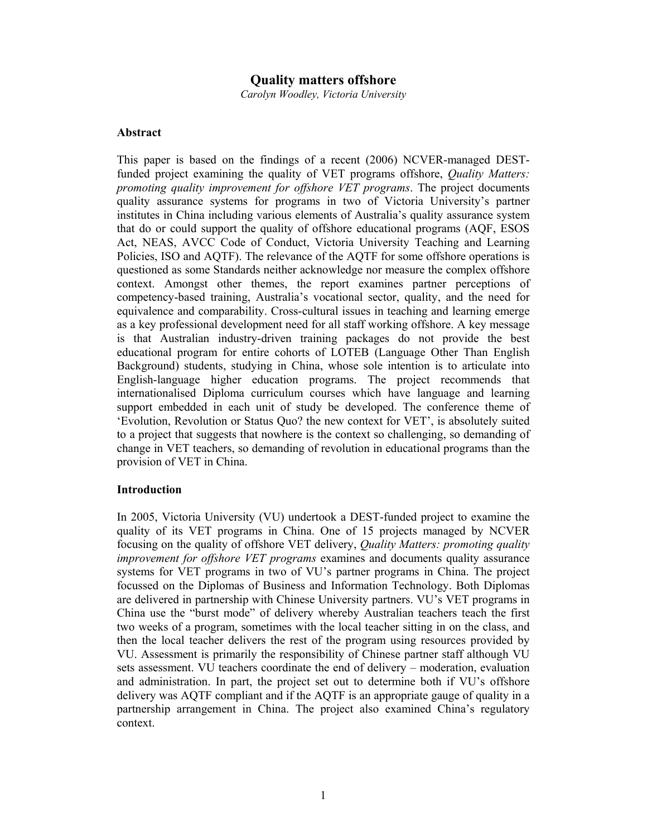# **Quality matters offshore**

*Carolyn Woodley, Victoria University* 

## **Abstract**

This paper is based on the findings of a recent (2006) NCVER-managed DESTfunded project examining the quality of VET programs offshore, *Quality Matters: promoting quality improvement for offshore VET programs*. The project documents quality assurance systems for programs in two of Victoria University's partner institutes in China including various elements of Australia's quality assurance system that do or could support the quality of offshore educational programs (AQF, ESOS Act, NEAS, AVCC Code of Conduct, Victoria University Teaching and Learning Policies, ISO and AQTF). The relevance of the AQTF for some offshore operations is questioned as some Standards neither acknowledge nor measure the complex offshore context. Amongst other themes, the report examines partner perceptions of competency-based training, Australia's vocational sector, quality, and the need for equivalence and comparability. Cross-cultural issues in teaching and learning emerge as a key professional development need for all staff working offshore. A key message is that Australian industry-driven training packages do not provide the best educational program for entire cohorts of LOTEB (Language Other Than English Background) students, studying in China, whose sole intention is to articulate into English-language higher education programs. The project recommends that internationalised Diploma curriculum courses which have language and learning support embedded in each unit of study be developed. The conference theme of 'Evolution, Revolution or Status Quo? the new context for VET', is absolutely suited to a project that suggests that nowhere is the context so challenging, so demanding of change in VET teachers, so demanding of revolution in educational programs than the provision of VET in China.

#### **Introduction**

In 2005, Victoria University (VU) undertook a DEST-funded project to examine the quality of its VET programs in China. One of 15 projects managed by NCVER focusing on the quality of offshore VET delivery, *Quality Matters: promoting quality improvement for offshore VET programs* examines and documents quality assurance systems for VET programs in two of VU's partner programs in China. The project focussed on the Diplomas of Business and Information Technology. Both Diplomas are delivered in partnership with Chinese University partners. VU's VET programs in China use the "burst mode" of delivery whereby Australian teachers teach the first two weeks of a program, sometimes with the local teacher sitting in on the class, and then the local teacher delivers the rest of the program using resources provided by VU. Assessment is primarily the responsibility of Chinese partner staff although VU sets assessment. VU teachers coordinate the end of delivery – moderation, evaluation and administration. In part, the project set out to determine both if VU's offshore delivery was AQTF compliant and if the AQTF is an appropriate gauge of quality in a partnership arrangement in China. The project also examined China's regulatory context.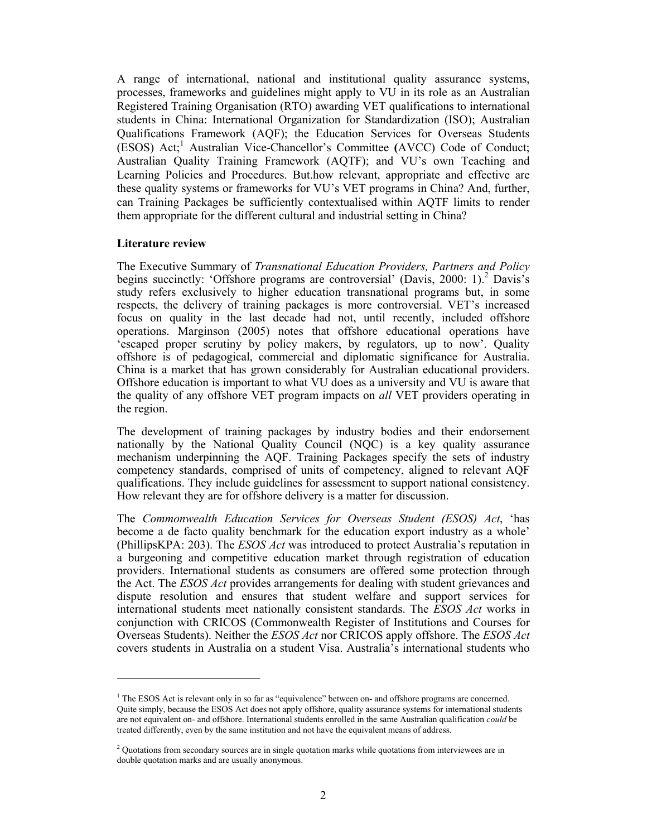A range of international, national and institutional quality assurance systems, processes, frameworks and guidelines might apply to VU in its role as an Australian Registered Training Organisation (RTO) awarding VET qualifications to international students in China: International Organization for Standardization (ISO); Australian Qualifications Framework (AQF); the Education Services for Overseas Students (ESOS) Act;<sup>1</sup> Australian Vice-Chancellor's Committee (AVCC) Code of Conduct; Australian Quality Training Framework (AQTF); and VU's own Teaching and Learning Policies and Procedures. But.how relevant, appropriate and effective are these quality systems or frameworks for VU's VET programs in China? And, further, can Training Packages be sufficiently contextualised within AQTF limits to render them appropriate for the different cultural and industrial setting in China?

## **Literature review**

 $\overline{a}$ 

The Executive Summary of *Transnational Education Providers, Partners and Policy* begins succinctly: 'Offshore programs are controversial' (Davis, 2000: 1).<sup>2</sup> Davis's study refers exclusively to higher education transnational programs but, in some respects, the delivery of training packages is more controversial. VET's increased focus on quality in the last decade had not, until recently, included offshore operations. Marginson (2005) notes that offshore educational operations have 'escaped proper scrutiny by policy makers, by regulators, up to now'. Quality offshore is of pedagogical, commercial and diplomatic significance for Australia. China is a market that has grown considerably for Australian educational providers. Offshore education is important to what VU does as a university and VU is aware that the quality of any offshore VET program impacts on *all* VET providers operating in the region.

The development of training packages by industry bodies and their endorsement nationally by the National Quality Council (NQC) is a key quality assurance mechanism underpinning the AQF. Training Packages specify the sets of industry competency standards, comprised of units of competency, aligned to relevant AQF qualifications. They include guidelines for assessment to support national consistency. How relevant they are for offshore delivery is a matter for discussion.

The *Commonwealth Education Services for Overseas Student (ESOS) Act*, 'has become a de facto quality benchmark for the education export industry as a whole' (PhillipsKPA: 203). The *ESOS Act* was introduced to protect Australia's reputation in a burgeoning and competitive education market through registration of education providers. International students as consumers are offered some protection through the Act. The *ESOS Act* provides arrangements for dealing with student grievances and dispute resolution and ensures that student welfare and support services for international students meet nationally consistent standards. The *ESOS Act* works in conjunction with CRICOS (Commonwealth Register of Institutions and Courses for Overseas Students). Neither the *ESOS Act* nor CRICOS apply offshore. The *ESOS Act* covers students in Australia on a student Visa. Australia's international students who

<sup>&</sup>lt;sup>1</sup> The ESOS Act is relevant only in so far as "equivalence" between on- and offshore programs are concerned. Quite simply, because the ESOS Act does not apply offshore, quality assurance systems for international students are not equivalent on- and offshore. International students enrolled in the same Australian qualification *could* be treated differently, even by the same institution and not have the equivalent means of address.

<sup>&</sup>lt;sup>2</sup> Quotations from secondary sources are in single quotation marks while quotations from interviewees are in double quotation marks and are usually anonymous.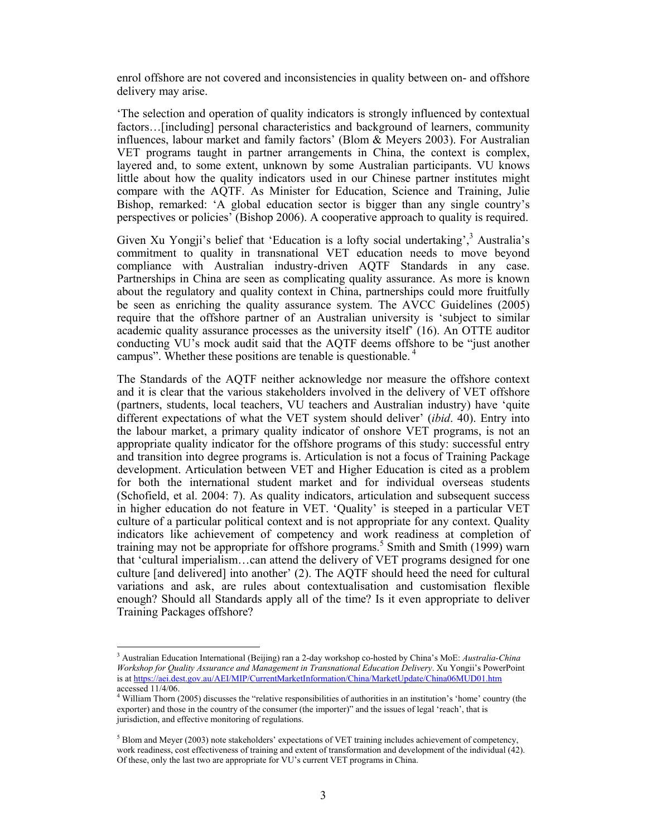enrol offshore are not covered and inconsistencies in quality between on- and offshore delivery may arise.

'The selection and operation of quality indicators is strongly influenced by contextual factors…[including] personal characteristics and background of learners, community influences, labour market and family factors' (Blom & Meyers 2003). For Australian VET programs taught in partner arrangements in China, the context is complex, layered and, to some extent, unknown by some Australian participants. VU knows little about how the quality indicators used in our Chinese partner institutes might compare with the AQTF. As Minister for Education, Science and Training, Julie Bishop, remarked: 'A global education sector is bigger than any single country's perspectives or policies' (Bishop 2006). A cooperative approach to quality is required.

Given Xu Yongji's belief that 'Education is a lofty social undertaking',  $3$  Australia's commitment to quality in transnational VET education needs to move beyond compliance with Australian industry-driven AQTF Standards in any case. Partnerships in China are seen as complicating quality assurance. As more is known about the regulatory and quality context in China, partnerships could more fruitfully be seen as enriching the quality assurance system. The AVCC Guidelines (2005) require that the offshore partner of an Australian university is 'subject to similar academic quality assurance processes as the university itself' (16). An OTTE auditor conducting VU's mock audit said that the AQTF deems offshore to be "just another campus". Whether these positions are tenable is questionable. 4

The Standards of the AQTF neither acknowledge nor measure the offshore context and it is clear that the various stakeholders involved in the delivery of VET offshore (partners, students, local teachers, VU teachers and Australian industry) have 'quite different expectations of what the VET system should deliver' (*ibid*. 40). Entry into the labour market, a primary quality indicator of onshore VET programs, is not an appropriate quality indicator for the offshore programs of this study: successful entry and transition into degree programs is. Articulation is not a focus of Training Package development. Articulation between VET and Higher Education is cited as a problem for both the international student market and for individual overseas students (Schofield, et al. 2004: 7). As quality indicators, articulation and subsequent success in higher education do not feature in VET. 'Quality' is steeped in a particular VET culture of a particular political context and is not appropriate for any context. Quality indicators like achievement of competency and work readiness at completion of training may not be appropriate for offshore programs.<sup>5</sup> Smith and Smith (1999) warn that 'cultural imperialism…can attend the delivery of VET programs designed for one culture [and delivered] into another' (2). The AQTF should heed the need for cultural variations and ask, are rules about contextualisation and customisation flexible enough? Should all Standards apply all of the time? Is it even appropriate to deliver Training Packages offshore?

<sup>3</sup> Australian Education International (Beijing) ran a 2-day workshop co-hosted by China's MoE: *Australia-China Workshop for Quality Assurance and Management in Transnational Education Delivery*. Xu Yongii's PowerPoint is at https://aei.dest.gov.au/AEI/MIP/CurrentMarketInformation/China/MarketUpdate/China06MUD01.htm accessed 11/4/06.

<sup>4</sup> William Thorn (2005) discusses the "relative responsibilities of authorities in an institution's 'home' country (the exporter) and those in the country of the consumer (the importer)" and the issues of legal 'reach', that is jurisdiction, and effective monitoring of regulations.

 $<sup>5</sup>$  Blom and Meyer (2003) note stakeholders' expectations of VET training includes achievement of competency,</sup> work readiness, cost effectiveness of training and extent of transformation and development of the individual (42). Of these, only the last two are appropriate for VU's current VET programs in China.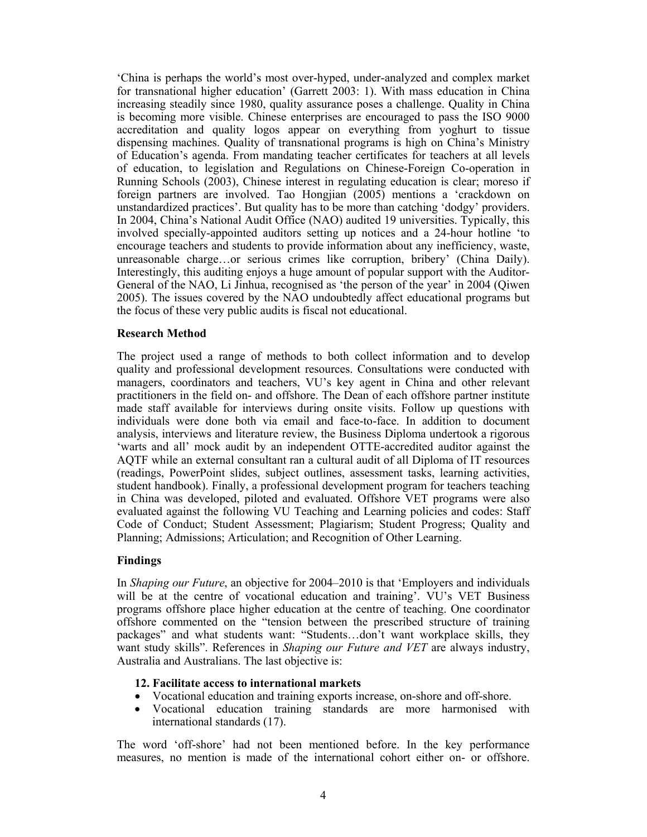'China is perhaps the world's most over-hyped, under-analyzed and complex market for transnational higher education' (Garrett 2003: 1). With mass education in China increasing steadily since 1980, quality assurance poses a challenge. Quality in China is becoming more visible. Chinese enterprises are encouraged to pass the ISO 9000 accreditation and quality logos appear on everything from yoghurt to tissue dispensing machines. Quality of transnational programs is high on China's Ministry of Education's agenda. From mandating teacher certificates for teachers at all levels of education, to legislation and Regulations on Chinese-Foreign Co-operation in Running Schools (2003), Chinese interest in regulating education is clear; moreso if foreign partners are involved. Tao Hongjian (2005) mentions a 'crackdown on unstandardized practices'. But quality has to be more than catching 'dodgy' providers. In 2004, China's National Audit Office (NAO) audited 19 universities. Typically, this involved specially-appointed auditors setting up notices and a 24-hour hotline 'to encourage teachers and students to provide information about any inefficiency, waste, unreasonable charge…or serious crimes like corruption, bribery' (China Daily). Interestingly, this auditing enjoys a huge amount of popular support with the Auditor-General of the NAO, Li Jinhua, recognised as 'the person of the year' in 2004 (Qiwen 2005). The issues covered by the NAO undoubtedly affect educational programs but the focus of these very public audits is fiscal not educational.

# **Research Method**

The project used a range of methods to both collect information and to develop quality and professional development resources. Consultations were conducted with managers, coordinators and teachers, VU's key agent in China and other relevant practitioners in the field on- and offshore. The Dean of each offshore partner institute made staff available for interviews during onsite visits. Follow up questions with individuals were done both via email and face-to-face. In addition to document analysis, interviews and literature review, the Business Diploma undertook a rigorous 'warts and all' mock audit by an independent OTTE-accredited auditor against the AQTF while an external consultant ran a cultural audit of all Diploma of IT resources (readings, PowerPoint slides, subject outlines, assessment tasks, learning activities, student handbook). Finally, a professional development program for teachers teaching in China was developed, piloted and evaluated. Offshore VET programs were also evaluated against the following VU Teaching and Learning policies and codes: Staff Code of Conduct; Student Assessment; Plagiarism; Student Progress; Quality and Planning; Admissions; Articulation; and Recognition of Other Learning.

#### **Findings**

In *Shaping our Future*, an objective for 2004–2010 is that 'Employers and individuals will be at the centre of vocational education and training'. VU's VET Business programs offshore place higher education at the centre of teaching. One coordinator offshore commented on the "tension between the prescribed structure of training packages" and what students want: "Students…don't want workplace skills, they want study skills". References in *Shaping our Future and VET* are always industry, Australia and Australians. The last objective is:

# **12. Facilitate access to international markets**

- Vocational education and training exports increase, on-shore and off-shore.
- Vocational education training standards are more harmonised with international standards (17).

The word 'off-shore' had not been mentioned before. In the key performance measures, no mention is made of the international cohort either on- or offshore.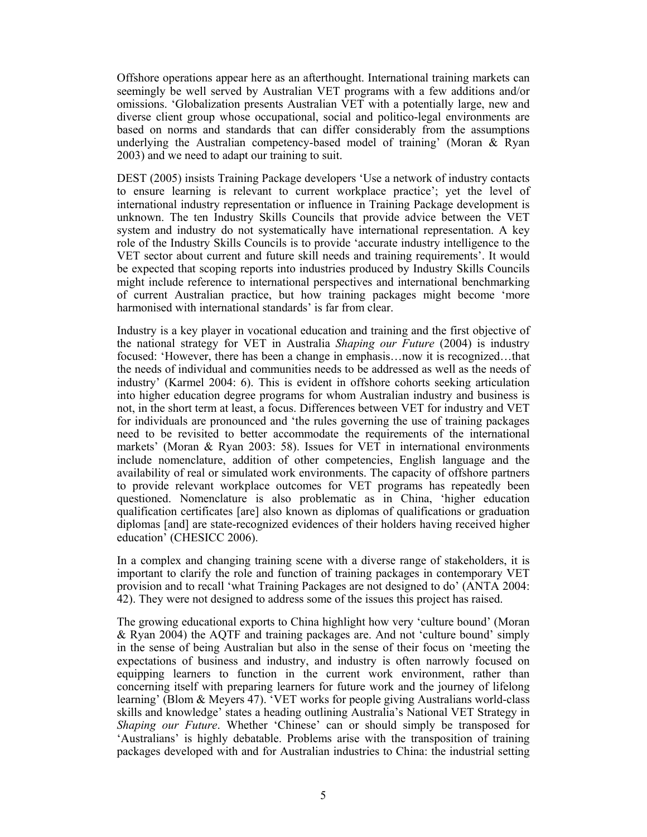Offshore operations appear here as an afterthought. International training markets can seemingly be well served by Australian VET programs with a few additions and/or omissions. 'Globalization presents Australian VET with a potentially large, new and diverse client group whose occupational, social and politico-legal environments are based on norms and standards that can differ considerably from the assumptions underlying the Australian competency-based model of training' (Moran & Ryan 2003) and we need to adapt our training to suit.

DEST (2005) insists Training Package developers 'Use a network of industry contacts to ensure learning is relevant to current workplace practice'; yet the level of international industry representation or influence in Training Package development is unknown. The ten Industry Skills Councils that provide advice between the VET system and industry do not systematically have international representation. A key role of the Industry Skills Councils is to provide 'accurate industry intelligence to the VET sector about current and future skill needs and training requirements'. It would be expected that scoping reports into industries produced by Industry Skills Councils might include reference to international perspectives and international benchmarking of current Australian practice, but how training packages might become 'more harmonised with international standards' is far from clear.

Industry is a key player in vocational education and training and the first objective of the national strategy for VET in Australia *Shaping our Future* (2004) is industry focused: 'However, there has been a change in emphasis…now it is recognized…that the needs of individual and communities needs to be addressed as well as the needs of industry' (Karmel 2004: 6). This is evident in offshore cohorts seeking articulation into higher education degree programs for whom Australian industry and business is not, in the short term at least, a focus. Differences between VET for industry and VET for individuals are pronounced and 'the rules governing the use of training packages need to be revisited to better accommodate the requirements of the international markets' (Moran & Ryan 2003: 58). Issues for VET in international environments include nomenclature, addition of other competencies, English language and the availability of real or simulated work environments. The capacity of offshore partners to provide relevant workplace outcomes for VET programs has repeatedly been questioned. Nomenclature is also problematic as in China, 'higher education qualification certificates [are] also known as diplomas of qualifications or graduation diplomas [and] are state-recognized evidences of their holders having received higher education' (CHESICC 2006).

In a complex and changing training scene with a diverse range of stakeholders, it is important to clarify the role and function of training packages in contemporary VET provision and to recall 'what Training Packages are not designed to do' (ANTA 2004: 42). They were not designed to address some of the issues this project has raised.

The growing educational exports to China highlight how very 'culture bound' (Moran & Ryan 2004) the AQTF and training packages are. And not 'culture bound' simply in the sense of being Australian but also in the sense of their focus on 'meeting the expectations of business and industry, and industry is often narrowly focused on equipping learners to function in the current work environment, rather than concerning itself with preparing learners for future work and the journey of lifelong learning' (Blom & Meyers 47). 'VET works for people giving Australians world-class skills and knowledge' states a heading outlining Australia's National VET Strategy in *Shaping our Future*. Whether 'Chinese' can or should simply be transposed for 'Australians' is highly debatable. Problems arise with the transposition of training packages developed with and for Australian industries to China: the industrial setting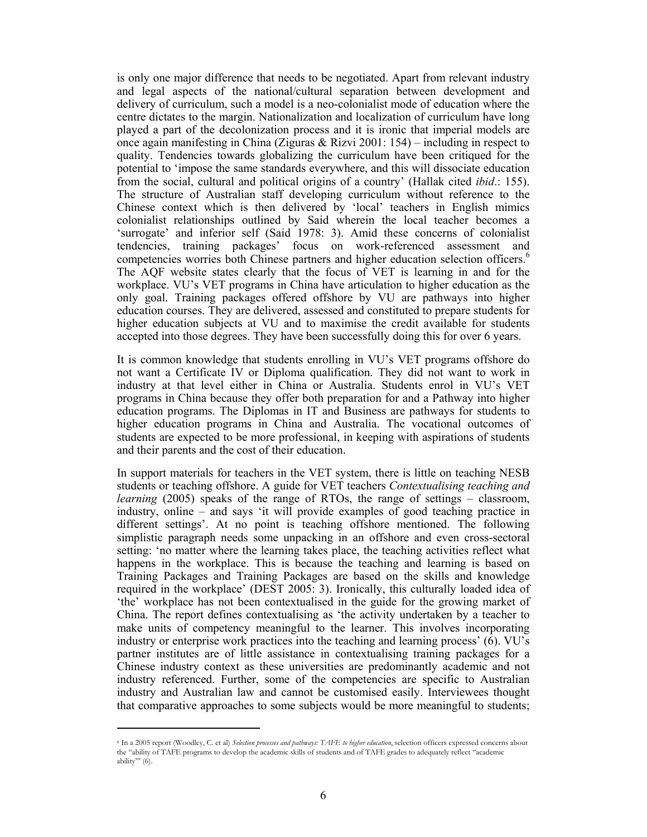is only one major difference that needs to be negotiated. Apart from relevant industry and legal aspects of the national/cultural separation between development and delivery of curriculum, such a model is a neo-colonialist mode of education where the centre dictates to the margin. Nationalization and localization of curriculum have long played a part of the decolonization process and it is ironic that imperial models are once again manifesting in China (Ziguras & Rizvi 2001: 154) – including in respect to quality. Tendencies towards globalizing the curriculum have been critiqued for the potential to 'impose the same standards everywhere, and this will dissociate education from the social, cultural and political origins of a country' (Hallak cited *ibid*.: 155). The structure of Australian staff developing curriculum without reference to the Chinese context which is then delivered by 'local' teachers in English mimics colonialist relationships outlined by Said wherein the local teacher becomes a 'surrogate' and inferior self (Said 1978: 3). Amid these concerns of colonialist tendencies, training packages' focus on work-referenced assessment and competencies worries both Chinese partners and higher education selection officers.<sup>6</sup> The AQF website states clearly that the focus of VET is learning in and for the workplace. VU's VET programs in China have articulation to higher education as the only goal. Training packages offered offshore by VU are pathways into higher education courses. They are delivered, assessed and constituted to prepare students for higher education subjects at VU and to maximise the credit available for students accepted into those degrees. They have been successfully doing this for over 6 years.

It is common knowledge that students enrolling in VU's VET programs offshore do not want a Certificate IV or Diploma qualification. They did not want to work in industry at that level either in China or Australia. Students enrol in VU's VET programs in China because they offer both preparation for and a Pathway into higher education programs. The Diplomas in IT and Business are pathways for students to higher education programs in China and Australia. The vocational outcomes of students are expected to be more professional, in keeping with aspirations of students and their parents and the cost of their education.

In support materials for teachers in the VET system, there is little on teaching NESB students or teaching offshore. A guide for VET teachers *Contextualising teaching and learning* (2005) speaks of the range of RTOs, the range of settings – classroom, industry, online – and says 'it will provide examples of good teaching practice in different settings'. At no point is teaching offshore mentioned. The following simplistic paragraph needs some unpacking in an offshore and even cross-sectoral setting: 'no matter where the learning takes place, the teaching activities reflect what happens in the workplace. This is because the teaching and learning is based on Training Packages and Training Packages are based on the skills and knowledge required in the workplace' (DEST 2005: 3). Ironically, this culturally loaded idea of 'the' workplace has not been contextualised in the guide for the growing market of China. The report defines contextualising as 'the activity undertaken by a teacher to make units of competency meaningful to the learner. This involves incorporating industry or enterprise work practices into the teaching and learning process' (6). VU's partner institutes are of little assistance in contextualising training packages for a Chinese industry context as these universities are predominantly academic and not industry referenced. Further, some of the competencies are specific to Australian industry and Australian law and cannot be customised easily. Interviewees thought that comparative approaches to some subjects would be more meaningful to students;

<sup>6</sup> In a 2005 report (Woodley, C. et al) *Selection processes and pathways: TAFE to higher education*, selection officers expressed concerns about the "ability of TAFE programs to develop the academic skills of students and of TAFE grades to adequately reflect "academic ability"' (6).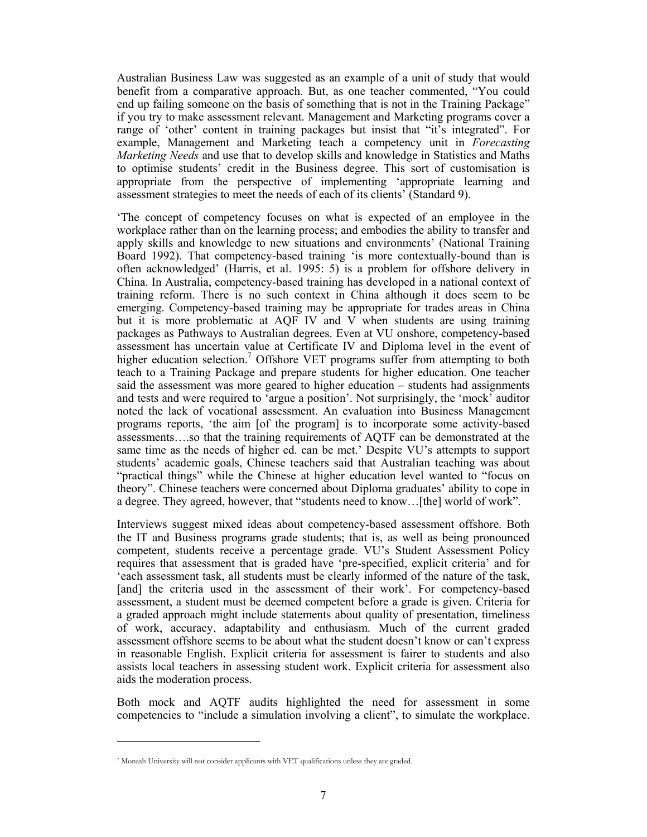Australian Business Law was suggested as an example of a unit of study that would benefit from a comparative approach. But, as one teacher commented, "You could end up failing someone on the basis of something that is not in the Training Package" if you try to make assessment relevant. Management and Marketing programs cover a range of 'other' content in training packages but insist that "it's integrated". For example, Management and Marketing teach a competency unit in *Forecasting Marketing Needs* and use that to develop skills and knowledge in Statistics and Maths to optimise students' credit in the Business degree. This sort of customisation is appropriate from the perspective of implementing 'appropriate learning and assessment strategies to meet the needs of each of its clients' (Standard 9).

'The concept of competency focuses on what is expected of an employee in the workplace rather than on the learning process; and embodies the ability to transfer and apply skills and knowledge to new situations and environments' (National Training Board 1992). That competency-based training 'is more contextually-bound than is often acknowledged' (Harris, et al. 1995: 5) is a problem for offshore delivery in China. In Australia, competency-based training has developed in a national context of training reform. There is no such context in China although it does seem to be emerging. Competency-based training may be appropriate for trades areas in China but it is more problematic at AQF IV and V when students are using training packages as Pathways to Australian degrees. Even at VU onshore, competency-based assessment has uncertain value at Certificate IV and Diploma level in the event of higher education selection.<sup>7</sup> Offshore VET programs suffer from attempting to both teach to a Training Package and prepare students for higher education. One teacher said the assessment was more geared to higher education – students had assignments and tests and were required to 'argue a position'. Not surprisingly, the 'mock' auditor noted the lack of vocational assessment. An evaluation into Business Management programs reports, 'the aim [of the program] is to incorporate some activity-based assessments….so that the training requirements of AQTF can be demonstrated at the same time as the needs of higher ed. can be met.' Despite VU's attempts to support students' academic goals, Chinese teachers said that Australian teaching was about "practical things" while the Chinese at higher education level wanted to "focus on theory". Chinese teachers were concerned about Diploma graduates' ability to cope in a degree. They agreed, however, that "students need to know…[the] world of work".

Interviews suggest mixed ideas about competency-based assessment offshore. Both the IT and Business programs grade students; that is, as well as being pronounced competent, students receive a percentage grade. VU's Student Assessment Policy requires that assessment that is graded have 'pre-specified, explicit criteria' and for 'each assessment task, all students must be clearly informed of the nature of the task, [and] the criteria used in the assessment of their work'. For competency-based assessment, a student must be deemed competent before a grade is given. Criteria for a graded approach might include statements about quality of presentation, timeliness of work, accuracy, adaptability and enthusiasm. Much of the current graded assessment offshore seems to be about what the student doesn't know or can't express in reasonable English. Explicit criteria for assessment is fairer to students and also assists local teachers in assessing student work. Explicit criteria for assessment also aids the moderation process.

Both mock and AQTF audits highlighted the need for assessment in some competencies to "include a simulation involving a client", to simulate the workplace.

<sup>7</sup> Monash University will not consider applicants with VET qualifications unless they are graded.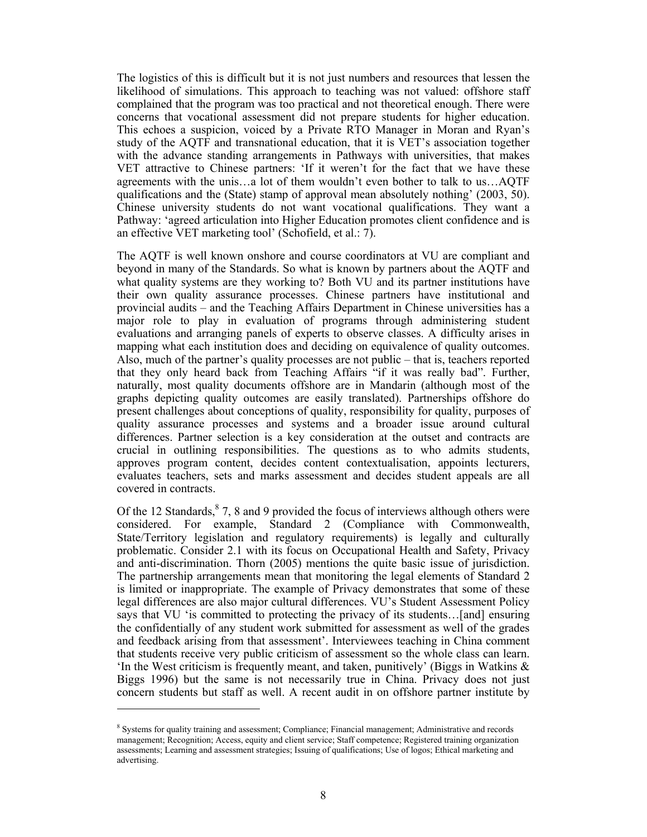The logistics of this is difficult but it is not just numbers and resources that lessen the likelihood of simulations. This approach to teaching was not valued: offshore staff complained that the program was too practical and not theoretical enough. There were concerns that vocational assessment did not prepare students for higher education. This echoes a suspicion, voiced by a Private RTO Manager in Moran and Ryan's study of the AQTF and transnational education, that it is VET's association together with the advance standing arrangements in Pathways with universities, that makes VET attractive to Chinese partners: 'If it weren't for the fact that we have these agreements with the unis…a lot of them wouldn't even bother to talk to us…AQTF qualifications and the (State) stamp of approval mean absolutely nothing' (2003, 50). Chinese university students do not want vocational qualifications. They want a Pathway: 'agreed articulation into Higher Education promotes client confidence and is an effective VET marketing tool' (Schofield, et al.: 7).

The AQTF is well known onshore and course coordinators at VU are compliant and beyond in many of the Standards. So what is known by partners about the AQTF and what quality systems are they working to? Both VU and its partner institutions have their own quality assurance processes. Chinese partners have institutional and provincial audits – and the Teaching Affairs Department in Chinese universities has a major role to play in evaluation of programs through administering student evaluations and arranging panels of experts to observe classes. A difficulty arises in mapping what each institution does and deciding on equivalence of quality outcomes. Also, much of the partner's quality processes are not public – that is, teachers reported that they only heard back from Teaching Affairs "if it was really bad". Further, naturally, most quality documents offshore are in Mandarin (although most of the graphs depicting quality outcomes are easily translated). Partnerships offshore do present challenges about conceptions of quality, responsibility for quality, purposes of quality assurance processes and systems and a broader issue around cultural differences. Partner selection is a key consideration at the outset and contracts are crucial in outlining responsibilities. The questions as to who admits students, approves program content, decides content contextualisation, appoints lecturers, evaluates teachers, sets and marks assessment and decides student appeals are all covered in contracts.

Of the 12 Standards,  $8$  7, 8 and 9 provided the focus of interviews although others were considered. For example, Standard 2 (Compliance with Commonwealth, State/Territory legislation and regulatory requirements) is legally and culturally problematic. Consider 2.1 with its focus on Occupational Health and Safety, Privacy and anti-discrimination. Thorn (2005) mentions the quite basic issue of jurisdiction. The partnership arrangements mean that monitoring the legal elements of Standard 2 is limited or inappropriate. The example of Privacy demonstrates that some of these legal differences are also major cultural differences. VU's Student Assessment Policy says that VU 'is committed to protecting the privacy of its students...[and] ensuring the confidentially of any student work submitted for assessment as well of the grades and feedback arising from that assessment'. Interviewees teaching in China comment that students receive very public criticism of assessment so the whole class can learn. In the West criticism is frequently meant, and taken, punitively' (Biggs in Watkins  $\&$ Biggs 1996) but the same is not necessarily true in China. Privacy does not just concern students but staff as well. A recent audit in on offshore partner institute by

<sup>&</sup>lt;sup>8</sup> Systems for quality training and assessment; Compliance; Financial management; Administrative and records management; Recognition; Access, equity and client service; Staff competence; Registered training organization assessments; Learning and assessment strategies; Issuing of qualifications; Use of logos; Ethical marketing and advertising.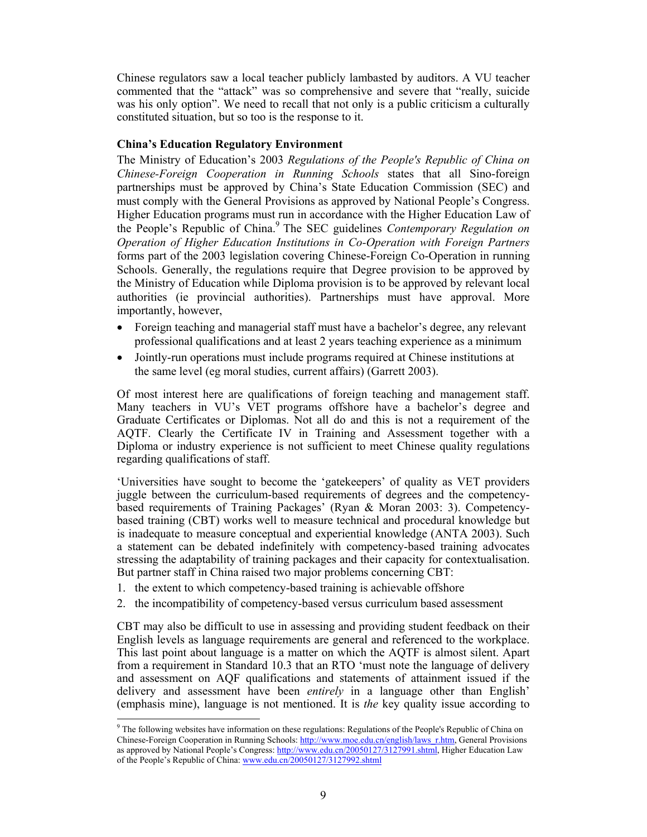Chinese regulators saw a local teacher publicly lambasted by auditors. A VU teacher commented that the "attack" was so comprehensive and severe that "really, suicide was his only option". We need to recall that not only is a public criticism a culturally constituted situation, but so too is the response to it.

# **China's Education Regulatory Environment**

The Ministry of Education's 2003 *Regulations of the People's Republic of China on Chinese-Foreign Cooperation in Running Schools* states that all Sino-foreign partnerships must be approved by China's State Education Commission (SEC) and must comply with the General Provisions as approved by National People's Congress. Higher Education programs must run in accordance with the Higher Education Law of the People's Republic of China.9 The SEC guidelines *Contemporary Regulation on Operation of Higher Education Institutions in Co-Operation with Foreign Partners* forms part of the 2003 legislation covering Chinese-Foreign Co-Operation in running Schools. Generally, the regulations require that Degree provision to be approved by the Ministry of Education while Diploma provision is to be approved by relevant local authorities (ie provincial authorities). Partnerships must have approval. More importantly, however,

- Foreign teaching and managerial staff must have a bachelor's degree, any relevant professional qualifications and at least 2 years teaching experience as a minimum
- Jointly-run operations must include programs required at Chinese institutions at the same level (eg moral studies, current affairs) (Garrett 2003).

Of most interest here are qualifications of foreign teaching and management staff. Many teachers in VU's VET programs offshore have a bachelor's degree and Graduate Certificates or Diplomas. Not all do and this is not a requirement of the AQTF. Clearly the Certificate IV in Training and Assessment together with a Diploma or industry experience is not sufficient to meet Chinese quality regulations regarding qualifications of staff.

'Universities have sought to become the 'gatekeepers' of quality as VET providers juggle between the curriculum-based requirements of degrees and the competencybased requirements of Training Packages' (Ryan & Moran 2003: 3). Competencybased training (CBT) works well to measure technical and procedural knowledge but is inadequate to measure conceptual and experiential knowledge (ANTA 2003). Such a statement can be debated indefinitely with competency-based training advocates stressing the adaptability of training packages and their capacity for contextualisation. But partner staff in China raised two major problems concerning CBT:

1. the extent to which competency-based training is achievable offshore

 $\overline{a}$ 

2. the incompatibility of competency-based versus curriculum based assessment

CBT may also be difficult to use in assessing and providing student feedback on their English levels as language requirements are general and referenced to the workplace. This last point about language is a matter on which the AQTF is almost silent. Apart from a requirement in Standard 10.3 that an RTO 'must note the language of delivery and assessment on AQF qualifications and statements of attainment issued if the delivery and assessment have been *entirely* in a language other than English' (emphasis mine), language is not mentioned. It is *the* key quality issue according to

<sup>&</sup>lt;sup>9</sup> The following websites have information on these regulations: Regulations of the People's Republic of China on Chinese-Foreign Cooperation in Running Schools: http://www.moe.edu.cn/english/laws\_r.htm, General Provisions as approved by National People's Congress: http://www.edu.cn/20050127/3127991.shtml, Higher Education Law of the People's Republic of China: www.edu.cn/20050127/3127992.shtml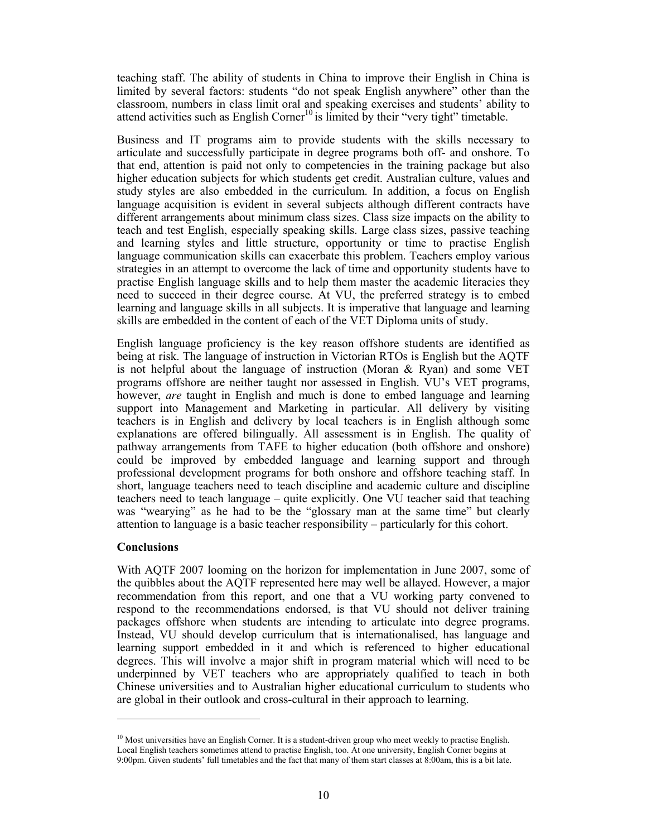teaching staff. The ability of students in China to improve their English in China is limited by several factors: students "do not speak English anywhere" other than the classroom, numbers in class limit oral and speaking exercises and students' ability to attend activities such as English Corner<sup>10</sup> is limited by their "very tight" timetable.

Business and IT programs aim to provide students with the skills necessary to articulate and successfully participate in degree programs both off- and onshore. To that end, attention is paid not only to competencies in the training package but also higher education subjects for which students get credit. Australian culture, values and study styles are also embedded in the curriculum. In addition, a focus on English language acquisition is evident in several subjects although different contracts have different arrangements about minimum class sizes. Class size impacts on the ability to teach and test English, especially speaking skills. Large class sizes, passive teaching and learning styles and little structure, opportunity or time to practise English language communication skills can exacerbate this problem. Teachers employ various strategies in an attempt to overcome the lack of time and opportunity students have to practise English language skills and to help them master the academic literacies they need to succeed in their degree course. At VU, the preferred strategy is to embed learning and language skills in all subjects. It is imperative that language and learning skills are embedded in the content of each of the VET Diploma units of study.

English language proficiency is the key reason offshore students are identified as being at risk. The language of instruction in Victorian RTOs is English but the AQTF is not helpful about the language of instruction (Moran  $\&$  Ryan) and some VET programs offshore are neither taught nor assessed in English. VU's VET programs, however, *are* taught in English and much is done to embed language and learning support into Management and Marketing in particular. All delivery by visiting teachers is in English and delivery by local teachers is in English although some explanations are offered bilingually. All assessment is in English. The quality of pathway arrangements from TAFE to higher education (both offshore and onshore) could be improved by embedded language and learning support and through professional development programs for both onshore and offshore teaching staff. In short, language teachers need to teach discipline and academic culture and discipline teachers need to teach language – quite explicitly. One VU teacher said that teaching was "wearying" as he had to be the "glossary man at the same time" but clearly attention to language is a basic teacher responsibility – particularly for this cohort.

# **Conclusions**

 $\overline{a}$ 

With AQTF 2007 looming on the horizon for implementation in June 2007, some of the quibbles about the AQTF represented here may well be allayed. However, a major recommendation from this report, and one that a VU working party convened to respond to the recommendations endorsed, is that VU should not deliver training packages offshore when students are intending to articulate into degree programs. Instead, VU should develop curriculum that is internationalised, has language and learning support embedded in it and which is referenced to higher educational degrees. This will involve a major shift in program material which will need to be underpinned by VET teachers who are appropriately qualified to teach in both Chinese universities and to Australian higher educational curriculum to students who are global in their outlook and cross-cultural in their approach to learning.

 $10$  Most universities have an English Corner. It is a student-driven group who meet weekly to practise English. Local English teachers sometimes attend to practise English, too. At one university, English Corner begins at 9:00pm. Given students' full timetables and the fact that many of them start classes at 8:00am, this is a bit late.